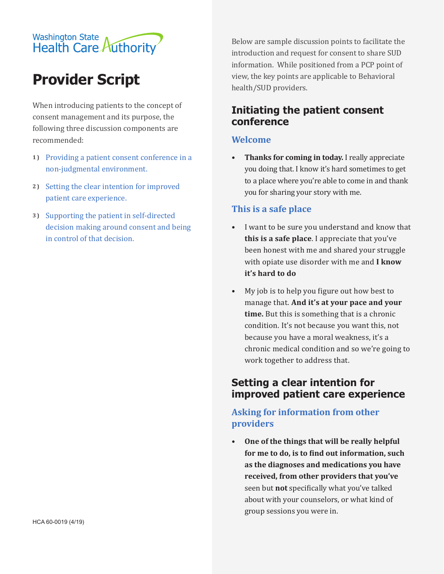# Washington State<br>Health Care Authority

# **Provider Script**

When introducing patients to the concept of consent management and its purpose, the following three discussion components are recommended:

- **1**) Providing a patient consent conference in a non-judgmental environment.
- **2 )**  Setting the clear intention for improved patient care experience.
- **3 )**  Supporting the patient in self-directed decision making around consent and being in control of that decision.

Below are sample discussion points to facilitate the introduction and request for consent to share SUD information. While positioned from a PCP point of view, the key points are applicable to Behavioral health/SUD providers.

# **Initiating the patient consent conference**

#### **Welcome**

**• Thanks for coming in today.** I really appreciate you doing that. I know it's hard sometimes to get to a place where you're able to come in and thank you for sharing your story with me.

#### **This is a safe place**

- I want to be sure you understand and know that **this is a safe place**. I appreciate that you've been honest with me and shared your struggle with opiate use disorder with me and **I know it's hard to do**
- My job is to help you figure out how best to manage that. **And it's at your pace and your time.** But this is something that is a chronic condition. It's not because you want this, not because you have a moral weakness, it's a chronic medical condition and so we're going to work together to address that.

## **Setting a clear intention for improved patient care experience**

#### **Asking for information from other providers**

**• One of the things that will be really helpful for me to do, is to find out information, such as the diagnoses and medications you have received, from other providers that you've** seen but **not** specifically what you've talked about with your counselors, or what kind of group sessions you were in.